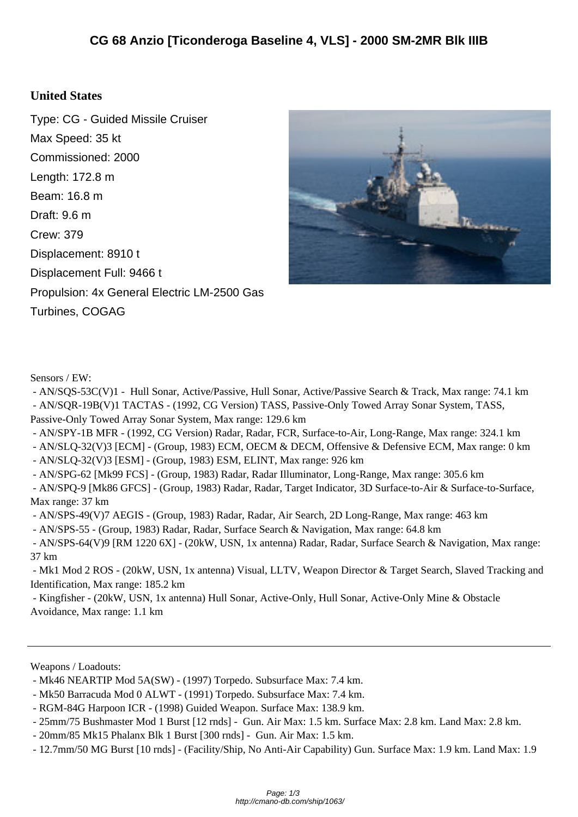## **United Sta[tes](http://cmano-db.com/ship/1063/)**

Type: CG - Guided Missile Cruiser Max Speed: 35 kt Commissioned: 2000 Length: 172.8 m Beam: 16.8 m Draft: 9.6 m Crew: 379 Displacement: 8910 t Displacement Full: 9466 t Propulsion: 4x General Electric LM-2500 Gas Turbines, COGAG



Sensors / EW:

 - AN/SQS-53C(V)1 - Hull Sonar, Active/Passive, Hull Sonar, Active/Passive Search & Track, Max range: 74.1 km - AN/SQR-19B(V)1 TACTAS - (1992, CG Version) TASS, Passive-Only Towed Array Sonar System, TASS, Passive-Only Towed Array Sonar System, Max range: 129.6 km

- AN/SPY-1B MFR - (1992, CG Version) Radar, Radar, FCR, Surface-to-Air, Long-Range, Max range: 324.1 km

- AN/SLQ-32(V)3 [ECM] - (Group, 1983) ECM, OECM & DECM, Offensive & Defensive ECM, Max range: 0 km

- AN/SLQ-32(V)3 [ESM] - (Group, 1983) ESM, ELINT, Max range: 926 km

- AN/SPG-62 [Mk99 FCS] - (Group, 1983) Radar, Radar Illuminator, Long-Range, Max range: 305.6 km

 - AN/SPQ-9 [Mk86 GFCS] - (Group, 1983) Radar, Radar, Target Indicator, 3D Surface-to-Air & Surface-to-Surface, Max range: 37 km

- AN/SPS-49(V)7 AEGIS - (Group, 1983) Radar, Radar, Air Search, 2D Long-Range, Max range: 463 km

- AN/SPS-55 - (Group, 1983) Radar, Radar, Surface Search & Navigation, Max range: 64.8 km

 - AN/SPS-64(V)9 [RM 1220 6X] - (20kW, USN, 1x antenna) Radar, Radar, Surface Search & Navigation, Max range: 37 km

 - Mk1 Mod 2 ROS - (20kW, USN, 1x antenna) Visual, LLTV, Weapon Director & Target Search, Slaved Tracking and Identification, Max range: 185.2 km

 - Kingfisher - (20kW, USN, 1x antenna) Hull Sonar, Active-Only, Hull Sonar, Active-Only Mine & Obstacle Avoidance, Max range: 1.1 km

Weapons / Loadouts:

- Mk46 NEARTIP Mod 5A(SW) - (1997) Torpedo. Subsurface Max: 7.4 km.

- Mk50 Barracuda Mod 0 ALWT - (1991) Torpedo. Subsurface Max: 7.4 km.

- RGM-84G Harpoon ICR - (1998) Guided Weapon. Surface Max: 138.9 km.

- 25mm/75 Bushmaster Mod 1 Burst [12 rnds] - Gun. Air Max: 1.5 km. Surface Max: 2.8 km. Land Max: 2.8 km.

- 20mm/85 Mk15 Phalanx Blk 1 Burst [300 rnds] - Gun. Air Max: 1.5 km.

- 12.7mm/50 MG Burst [10 rnds] - (Facility/Ship, No Anti-Air Capability) Gun. Surface Max: 1.9 km. Land Max: 1.9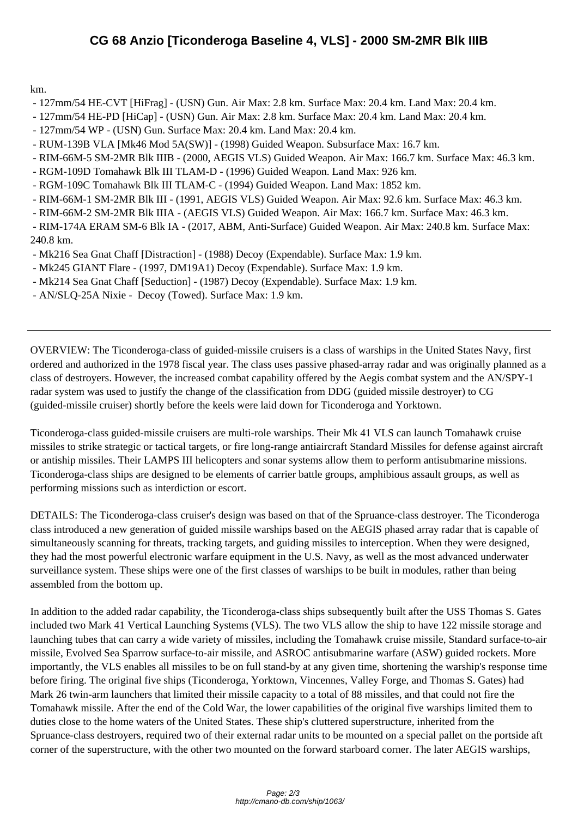km.

- 127mm/54 HE-CVT [HiFrag] (USN) Gun. Air Max: 2.8 km. Surface Max: 20.4 km. Land Max: 20.4 km.
- 127mm/54 HE-PD [HiCap] (USN) Gun. Air Max: 2.8 km. Surface Max: 20.4 km. Land Max: 20.4 km.
- 127mm/54 WP (USN) Gun. Surface Max: 20.4 km. Land Max: 20.4 km.
- RUM-139B VLA [Mk46 Mod 5A(SW)] (1998) Guided Weapon. Subsurface Max: 16.7 km.
- RIM-66M-5 SM-2MR Blk IIIB (2000, AEGIS VLS) Guided Weapon. Air Max: 166.7 km. Surface Max: 46.3 km.
- RGM-109D Tomahawk Blk III TLAM-D (1996) Guided Weapon. Land Max: 926 km.
- RGM-109C Tomahawk Blk III TLAM-C (1994) Guided Weapon. Land Max: 1852 km.
- RIM-66M-1 SM-2MR Blk III (1991, AEGIS VLS) Guided Weapon. Air Max: 92.6 km. Surface Max: 46.3 km.
- RIM-66M-2 SM-2MR Blk IIIA (AEGIS VLS) Guided Weapon. Air Max: 166.7 km. Surface Max: 46.3 km.
- RIM-174A ERAM SM-6 Blk IA (2017, ABM, Anti-Surface) Guided Weapon. Air Max: 240.8 km. Surface Max: 240.8 km.
- Mk216 Sea Gnat Chaff [Distraction] (1988) Decoy (Expendable). Surface Max: 1.9 km.
- Mk245 GIANT Flare (1997, DM19A1) Decoy (Expendable). Surface Max: 1.9 km.
- Mk214 Sea Gnat Chaff [Seduction] (1987) Decoy (Expendable). Surface Max: 1.9 km.
- AN/SLQ-25A Nixie Decoy (Towed). Surface Max: 1.9 km.

OVERVIEW: The Ticonderoga-class of guided-missile cruisers is a class of warships in the United States Navy, first ordered and authorized in the 1978 fiscal year. The class uses passive phased-array radar and was originally planned as a class of destroyers. However, the increased combat capability offered by the Aegis combat system and the AN/SPY-1 radar system was used to justify the change of the classification from DDG (guided missile destroyer) to CG (guided-missile cruiser) shortly before the keels were laid down for Ticonderoga and Yorktown.

Ticonderoga-class guided-missile cruisers are multi-role warships. Their Mk 41 VLS can launch Tomahawk cruise missiles to strike strategic or tactical targets, or fire long-range antiaircraft Standard Missiles for defense against aircraft or antiship missiles. Their LAMPS III helicopters and sonar systems allow them to perform antisubmarine missions. Ticonderoga-class ships are designed to be elements of carrier battle groups, amphibious assault groups, as well as performing missions such as interdiction or escort.

DETAILS: The Ticonderoga-class cruiser's design was based on that of the Spruance-class destroyer. The Ticonderoga class introduced a new generation of guided missile warships based on the AEGIS phased array radar that is capable of simultaneously scanning for threats, tracking targets, and guiding missiles to interception. When they were designed, they had the most powerful electronic warfare equipment in the U.S. Navy, as well as the most advanced underwater surveillance system. These ships were one of the first classes of warships to be built in modules, rather than being assembled from the bottom up.

In addition to the added radar capability, the Ticonderoga-class ships subsequently built after the USS Thomas S. Gates included two Mark 41 Vertical Launching Systems (VLS). The two VLS allow the ship to have 122 missile storage and launching tubes that can carry a wide variety of missiles, including the Tomahawk cruise missile, Standard surface-to-air missile, Evolved Sea Sparrow surface-to-air missile, and ASROC antisubmarine warfare (ASW) guided rockets. More importantly, the VLS enables all missiles to be on full stand-by at any given time, shortening the warship's response time before firing. The original five ships (Ticonderoga, Yorktown, Vincennes, Valley Forge, and Thomas S. Gates) had Mark 26 twin-arm launchers that limited their missile capacity to a total of 88 missiles, and that could not fire the Tomahawk missile. After the end of the Cold War, the lower capabilities of the original five warships limited them to duties close to the home waters of the United States. These ship's cluttered superstructure, inherited from the Spruance-class destroyers, required two of their external radar units to be mounted on a special pallet on the portside aft corner of the superstructure, with the other two mounted on the forward starboard corner. The later AEGIS warships,